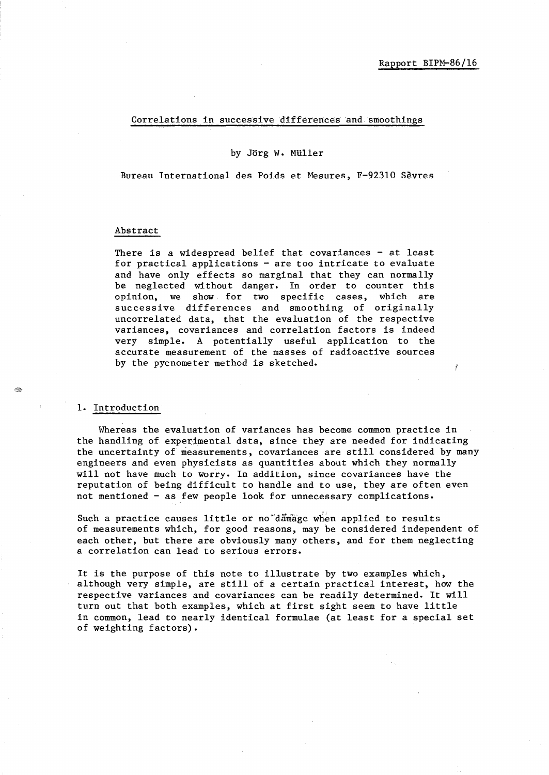# Correlations in successive differences and smoothings

#### by Jorg W. MUller

Bureau International des Poids et Mesures, F-92310 Sevres

#### Abstract

There is a widespread belief that covariances  $-$  at least for practical applications - are too intricate to evaluate and have only effects so marginal that they can normally be neglected without danger. In order to counter this opinion, we show for two specific cases, which are successive differences and smoothing of originally uncorrelated data, that the evaluation of the respective variances, covariances and correlation factors is indeed very simple. A potentially useful application to the accurate measurement of the masses of radioactive sources by the pycnometer method is sketched.

### 1. Introduction

t Cop

Whereas the evaluation of variances has become common practice in the handling of experimental data, since they are needed for indicating the uncertainty of measurements, covariances are still considered by many engineers and even physicists as quantities about which they normally will not have much to worry. In addition, since covariances have the reputation of being difficult to handle and to use, they are often even not mentioned - as few people look for unnecessary complications.

Such a practice causes little or no damage when applied to results of measurements which, for good reasons, may be considered independent of each other, but there are obviously many others, and for them neglecting a correlation can lead to serious errors.

It is the purpose of this note to illustrate by two examples which, although very simple, are still of a certain practical interest, how the respective variances and covariances can be readily determined. It will turn out that both examples, which at first sight seem to have little in common, lead to nearly identical formulae (at least for a special set of weighting factors).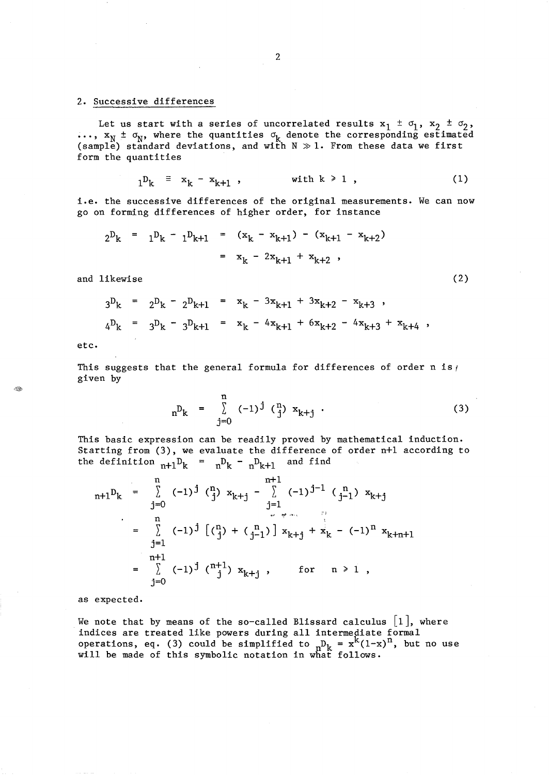# 2. Successive differences

Let us start with a series of uncorrelated results  $x_1 \pm \sigma_1$ ,  $x_2 \pm \sigma_2$ ,  $\mathbf{r}_k$ ,  $\mathbf{x}_N$   $\pm$   $\sigma_N$ , where the quantities  $\sigma_k$  denote the corresponding estimated (sample) standard deviations, and with  $N \gg 1$ . From these data we first form the quantities

$$
1^{\mathbf{D}_{k}} \equiv x_{k} - x_{k+1} \quad , \qquad \text{with } k \geq 1 \quad , \tag{1}
$$

i.e. the successive differences of the original measurements. We can now go on forming differences of higher order, for instance

$$
2^{D_k} = 1^{D_k} - 1^{D_{k+1}} = (x_k - x_{k+1}) - (x_{k+1} - x_{k+2})
$$
  
=  $x_k - 2x_{k+1} + x_{k+2}$ ,

and likewise (2) and likewise (2) and likewise (3) and likewise (3) and likewise (3) and likewise (3) and likewise (3) and likewise (3) and likewise (3) and likewise (3) and likewise (3) and likewise (3) and likewise (3) a

$$
3^{D}_{k} = 2^{D}_{k} - 2^{D}_{k+1} = x_{k} - 3x_{k+1} + 3x_{k+2} - x_{k+3} ,
$$
  
\n
$$
4^{D}_{k} = 3^{D}_{k} - 3^{D}_{k+1} = x_{k} - 4x_{k+1} + 6x_{k+2} - 4x_{k+3} + x_{k+4} ,
$$

etc.

This suggests that the general formula for differences of order n is  $\frac{1}{5}$ given by

$$
{}_{n}D_{k} = \sum_{j=0}^{n} (-1)^{j} \binom{n}{j} x_{k+j} . \qquad (3)
$$

This basic expression can be readily proved by mathematical induction. Starting from (3), we evaluate the difference of order n+1 according to the definition  $n+1$ <sup>D</sup><sub>k</sub> =  $n$ <sup>D</sup><sub>k</sub> -  $n$ <sup>D</sup><sub>k+1</sub> and find

$$
{}_{n+1}D_{k} = \sum_{j=0}^{n} (-1)^{j} \binom{n}{j} x_{k+j} - \sum_{j=1}^{n+1} (-1)^{j-1} \binom{n}{j-1} x_{k+j}
$$
  
\n
$$
= \sum_{j=1}^{n} (-1)^{j} \left[ \binom{n}{j} + \binom{n}{j-1} \right] x_{k+j} + x_{k} - (-1)^{n} x_{k+n+1}
$$
  
\n
$$
= \sum_{j=0}^{n+1} (-1)^{j} \binom{n+1}{j} x_{k+j}, \quad \text{for} \quad n \ge 1,
$$

as expected.

We note that by means of the so-called Blissard calculus  $[1]$ , where indices are treated like powers during all intermediate formal operations, eq. (3) could be simplified to  $n_{\mathbf{k}} = \mathbf{x}^{\mathbf{k}}(1-\mathbf{x})^{\mathbf{n}}$ , but no use will be made of this symbolic notation in what follows.

t Sa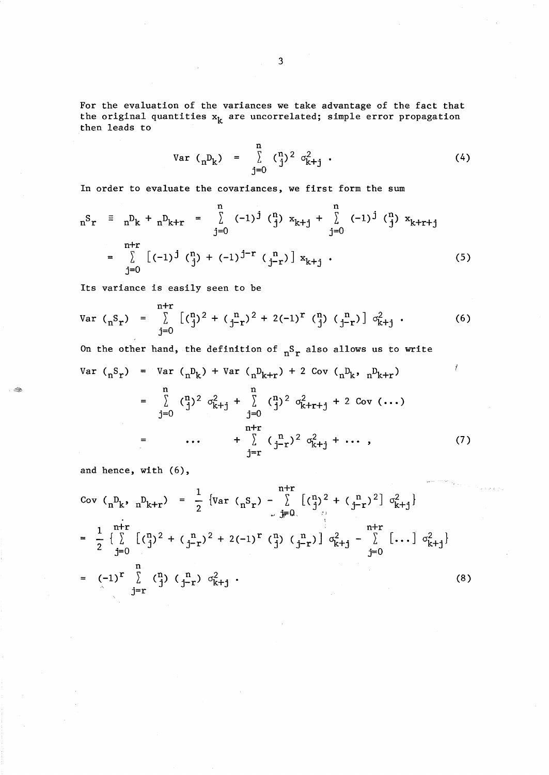For the evaluation of the variances we take advantage of the fact that the original quantities  $x_k$  are uncorrelated; simple error propagation then leads to

Var 
$$
(n^D_k)
$$
 =  $\int_{j=0}^{n} (\frac{n}{j})^2 \sigma_{k+j}^2$  (4)

In order to evaluate the covariances, we first form the sum

$$
{}_{n}S_{r} \equiv {}_{n}D_{k} + {}_{n}D_{k+r} = \sum_{j=0}^{n} (-1)^{j} \binom{n}{j} x_{k+j} + \sum_{j=0}^{n} (-1)^{j} \binom{n}{j} x_{k+r+j}
$$
  
\n
$$
= \sum_{j=0}^{n+r} [(-1)^{j} \binom{n}{j} + (-1)^{j-r} \binom{n}{j-r} x_{k+j}.
$$
 (5)

Its variance is easily seen to be

Var 
$$
({}_{n}S_{r})
$$
 =  $\sum_{j=0}^{n+r} [({}^{n}_{j})^{2} + ({}^{n}_{j-r})^{2} + 2(-1)^{r} ({}^{n}_{j}) ({}^{n}_{j-r})] \sigma_{k+j}^{2}$ . (6)

On the other hand, the definition of  $n^S r$  also allows us to write

$$
\begin{array}{rcl}\n\text{Var} \, ({}_{n}S_{r}) & = & \text{Var} \, ({}_{n}D_{k}) + \text{Var} \, ({}_{n}D_{k+r}) + 2 \, \text{Cov} \, ({}_{n}D_{k}, {}_{n}D_{k+r}) \\
& = & \sum_{j=0}^{n} \, ({}_{j}^{n})^{2} \, o_{k+j}^{2} + \sum_{j=0}^{n} \, ({}_{j}^{n})^{2} \, o_{k+r+j}^{2} + 2 \, \text{Cov} \, (\dots) \\
& = & \dots + \sum_{j=r}^{n+r} \, ({}_{j-r}^{n})^{2} \, o_{k+j}^{2} + \dots \,,\n\end{array}\n\tag{7}
$$

and hence, with (6),

- City

Cov 
$$
(n^D_k, n^D_{k+r}) = \frac{1}{2} \{Var (n^S_r) - \sum_{j=0}^{n+r} [(\frac{n}{j})^2 + (\frac{n}{j-r})^2] \sigma_{k+j}^2\}
$$
  
\n
$$
= \frac{1}{2} \{ \sum_{j=0}^{n+r} [(\frac{n}{j})^2 + (\frac{n}{j-r})^2 + 2(-1)^r (\frac{n}{j}) (\frac{n}{j-r})] \sigma_{k+j}^2 - \sum_{j=0}^{n+r} [\dots] \sigma_{k+j}^2 \}
$$
\n
$$
= (-1)^r \sum_{j=r}^{n} (\frac{n}{j}) (\frac{n}{j-r}) \sigma_{k+j}^2.
$$
\n(8)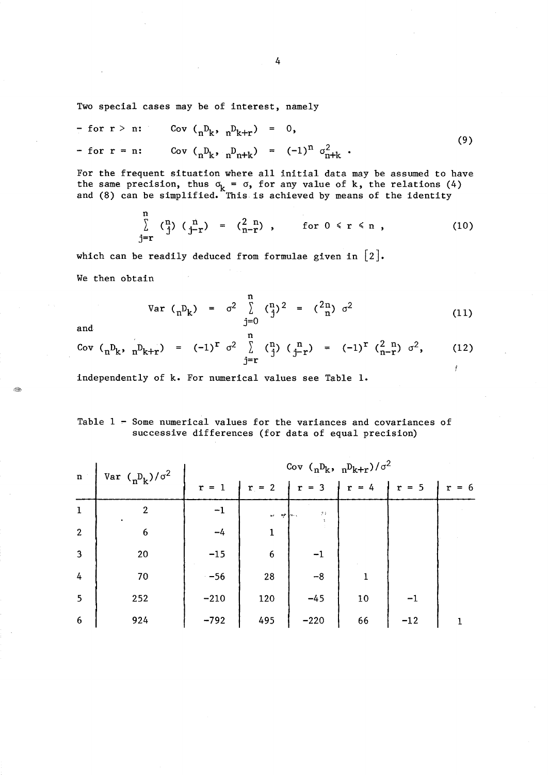Two special cases may be of interest, namely

$$
- \text{ for } r > n: \qquad \text{Cov } \left( {}_{n}D_{k}, {}_{n}D_{k+r} \right) = 0, \n- \text{ for } r = n: \qquad \text{Cov } \left( {}_{n}D_{k}, {}_{n}D_{n+k} \right) = (-1)^{n} \sigma_{n+k}^{2}.
$$
\n
$$
(9)
$$

For the frequent situation where all initial data may be assumed to have the same precision, thus  $\sigma_k = \sigma$ , for any value of k, the relations (4) and (8) can be simplified. This is achieved by means of the identity

$$
\sum_{j=r}^{n} \binom{n}{j} \binom{n}{j-r} = \binom{2}{n-r}, \quad \text{for } 0 \leq r \leq n , \quad (10)
$$

which can be readily deduced from formulae given in  $[2]$ . We then obtain

$$
\text{Var} \, \left( \,_{n} \mathbf{D}_{k} \right) \quad = \quad \sigma^{2} \quad \left( \,_{j} \right)^{n} \quad \left( \,_{j} \right)^{2} \quad = \quad \left( \,_{n}^{2} \right)^{n} \quad \sigma^{2} \tag{11}
$$

¥

Cov 
$$
(n^D k, n^D k+r)
$$
 =  $(-1)^r \sigma^2 \sum_{j=r}^n {n \choose j} {n \choose j-r} = (-1)^r {2 \choose n-r} \sigma^2$ , (12)

independently of k. For numerical values see Table 1.

# Table  $1$  - Some numerical values for the variances and covariances of successive differences (for data of equal precision)

| $\mathbf{n}$            | Var $\binom{n}{k}$ / $\sigma^2$ | Cov $\binom{n}{n}$ k, $\binom{n}{k+r}/\sigma^2$ |                  |                     |         |         |       |
|-------------------------|---------------------------------|-------------------------------------------------|------------------|---------------------|---------|---------|-------|
|                         |                                 | $r = 1$                                         | $r = 2$          | $\vert r = 3 \vert$ | $r = 4$ | $r = 5$ | $= 6$ |
| $\mathbf 1$             | $\overline{2}$                  | $-1$                                            | w when           | $\mathcal{I}$ )     |         |         |       |
| $\overline{2}$          | 6                               | $-4$                                            |                  |                     |         |         |       |
| $\overline{\mathbf{3}}$ | 20                              | $-15$                                           | $\boldsymbol{6}$ | $-1$                |         |         |       |
| $\frac{1}{4}$           | 70                              | $-56$                                           | 28               | $-8$                |         |         |       |
| $5\overline{5}$         | 252                             | $-210$                                          | 120              | $-45$               | 10      |         |       |
| $6\phantom{1}6$         | 924                             | $-792$                                          | 495              | $-220$              | 66      | $-12$   |       |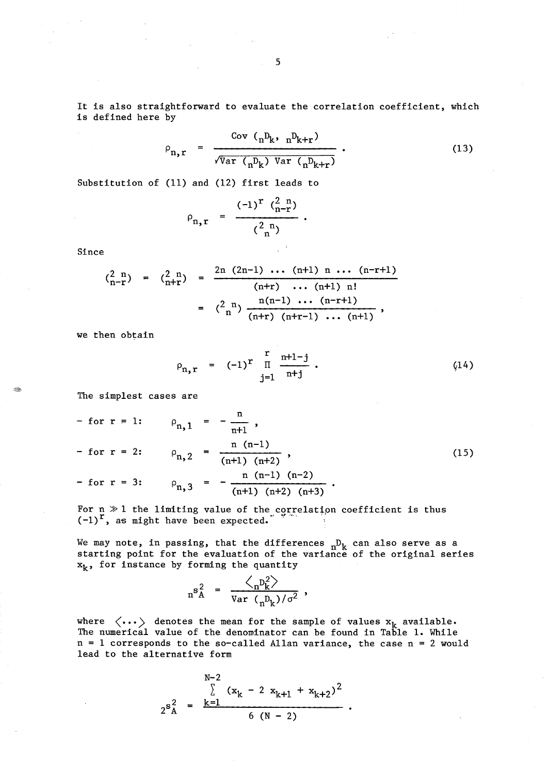It is also straightforward to evaluate the correlation coefficient, which is defined here by

$$
\rho_{n,r} = \frac{\text{Cov } \left( {}_{n}D_{k}, {}_{n}D_{k+r} \right)}{\sqrt{\text{Var } \left( {}_{n}D_{k}\right) \text{Var } \left( {}_{n}D_{k+r}\right)}}.
$$
\n(13)

Substitution of (11) and (12) first leads to

$$
\rho_{n,r} = \frac{(-1)^r \binom{2 n}{n-r}}{\binom{2 n}{n}}.
$$

Since

$$
\begin{array}{rcl}\n\binom{2 \ n}{n-r} &=& \binom{2 \ n}{n+r} \\
&=& \frac{2n \ (2n-1) \ \cdots \ (n+1) \ n \ \cdots \ (n-r+1)}{(n+r) \ \cdots \ (n+1) \ n!} \\
&=& \binom{2 \ n}{n} \ \frac{n(n-1) \ \cdots \ (n-r+1)}{(n+r) \ (n+r-1) \ \cdots \ (n+1)}\n\end{array}
$$

we then obtain

$$
\rho_{n,r} = (-1)^{r} \prod_{j=1}^{r} \frac{n+1-j}{n+j} \, . \tag{14}
$$

The simplest cases are

- for 
$$
r = 1
$$
:  $\rho_{n,1} = -\frac{n}{n+1}$ ,  
\n- for  $r = 2$ :  $\rho_{n,2} = \frac{n (n-1)}{(n+1) (n+2)}$ , (15)  
\n- for  $r = 3$ :  $\rho_{n,3} = -\frac{n (n-1) (n-2)}{(n+1) (n+2) (n+3)}$ .

For  $n \gg 1$  the limiting value of the correlation coefficient is thus  $(-1)^{r}$ , as might have been expected.

We may note, in passing, that the differences  ${}^{\ }_{\text{n}}\mathrm{D}_{\text{k}}$ starting point for the evaluation of the variance  $x_k$ , for instance by forming the quantity can also serve as a of the original series

$$
n^{s_A^2} = \frac{\left\langle n^{p_k^2} \right\rangle}{\sqrt{ar} \left(n^{p_k}\right) / \sigma^2} ,
$$

where  $\langle \dots \rangle$  denotes the mean for the sample of values  $x_k$  available. The numerical value of the denominator can be found in Table 1. While  $n = 1$  corresponds to the so-called Allan variance, the case  $n = 2$  would lead to the alternative form

$$
2^{s_{A}^{2}} = \frac{\sum_{k=1}^{N-2} (x_{k} - 2 x_{k+1} + x_{k+2})^{2}}{6 (N - 2)}.
$$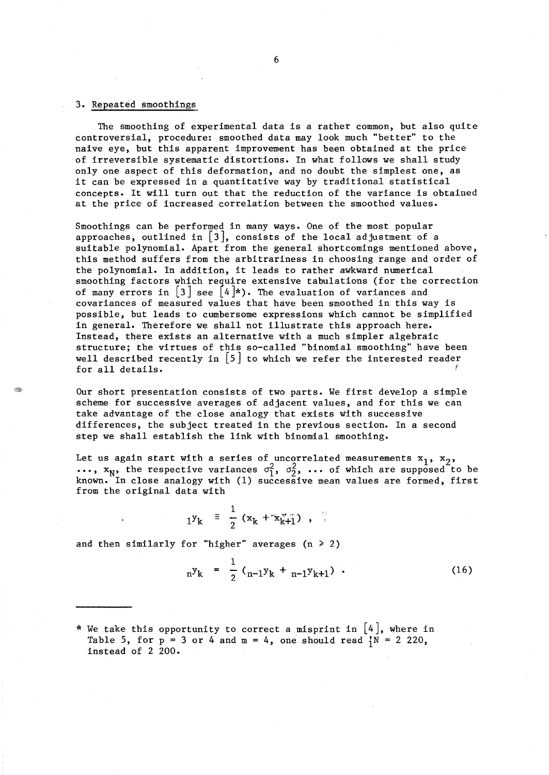### 3. Repeated smoothings

The smoothing of experimental data is a rather common, but also quite controversial, procedure: smoothed data may look much "better" to the naive eye, but this apparent improvement has been obtained at the price of irreversible systematic distortions. In what follows we shall study only one aspect of this deformation, and no doubt the simplest one, as it can be expressed in a quantitative way by traditional statistical concepts. It will turn out that the reduction of the variance is obtained at the price of increased correlation between the smoothed values.

Smoothings can be performed in many ways. One of the most popular approaches, outlined in  $|3|$ , consists of the local adjustment of a suitable polynomial. Apart from the general shortcomings mentioned above, this method suffers from the arbitrariness in choosing range and order of the polynomial. In addition, it leads to rather awkward numerical smoothing factors which require extensive tabulations (for the correction of many errors in  $|3|$  see  $|4|^{*}$ . The evaluation of variances and covariances of measured values that have been smoothed in this way is possible, but leads to cumbersome expressions which cannot be simplified in general. Therefore we shall not illustrate this approach here. Instead, there exists an alternative with a much simpler algebraic structure; the virtues of this so-called "binomial smoothing" have been well described recently in  $\left[5\right]$  to which we refer the interested reader  $f$ or all details.

Our short presentation consists of two parts. We first develop a simple scheme for successive averages of adjacent values, and for this we can take advantage of the close analogy that exists with successive differences, the subject treated in the previous section. In a second step we shall establish the link with binomial smoothing.

Let us again start with a series of uncorrelated measurements  $x_1$ ,  $x_2$ ,  $\mathbf{v}_N$ , the respective variances  $\sigma_1^2$ ,  $\sigma_2^2$ , ... of which are supposed to be known. In close analogy with (1) successive mean values are formed, first from the original data with

$$
1^{y} k = \frac{1}{2} (x_k + x_{k+1}^*) ,
$$

and then similarly for "higher" averages  $(n \ge 2)$ 

$$
{}_{n}y_{k} = \frac{1}{2} ({}_{n-1}y_{k} + {}_{n-1}y_{k+1}) \tag{16}
$$

\* We take this opportunity to correct a misprint in  $[4]$ , where in Table 5, for  $p = 3$  or 4 and  $m = 4$ , one should read  $N = 2220$ , instead of 2 200.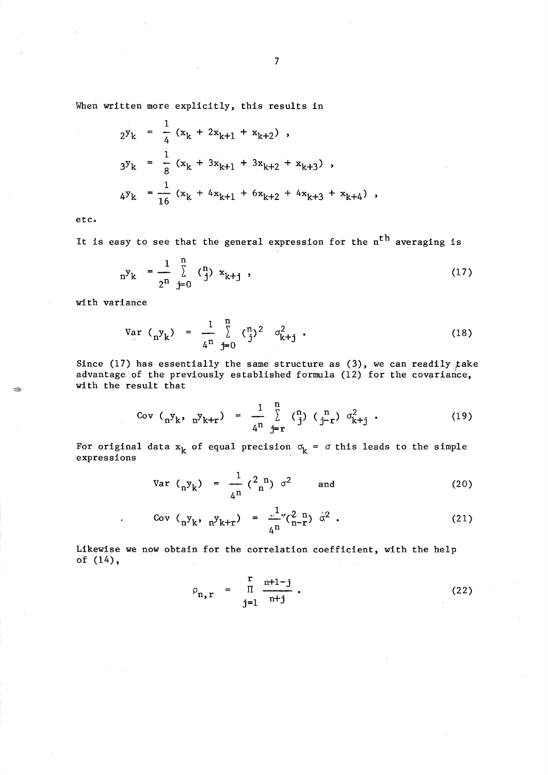When written more explicitly, this results in

$$
2^{y}k = \frac{1}{4} (x_{k} + 2x_{k+1} + x_{k+2}),
$$
  
\n
$$
3^{y}k = \frac{1}{8} (x_{k} + 3x_{k+1} + 3x_{k+2} + x_{k+3}),
$$
  
\n
$$
4^{y}k = \frac{1}{16} (x_{k} + 4x_{k+1} + 6x_{k+2} + 4x_{k+3} + x_{k+4}),
$$

etc.

It is easy to see that the general expression for the  $n<sup>th</sup>$  averaging is

$$
{}_{n}y_{k} = \frac{1}{2^{n}} \sum_{j=0}^{n} \binom{n}{j} x_{k+j} , \qquad (17)
$$

with variance

Var 
$$
(n_y k)
$$
 =  $\frac{1}{4^n} \sum_{j=0}^{n} {n_j}^2 \sigma_{k+j}^2$ . (18)

Since (17) has essentially the same structure as (3), we can readily *fake*  advantage of the previously established formula (12) for the covariance, with the result that

Cov 
$$
(n y_k, n y_{k+r}) = \frac{1}{4^n} \sum_{j=r}^{n} {n \choose j} (n p_{k+j} \sigma_{k+j}^2)
$$
 (19)

For original data  $x_k$  of equal precision  $\sigma_k$  =  $\sigma$  this leads to the simple expressions

Var 
$$
(n_y y_k) = \frac{1}{4^n} {2^n \choose n} \sigma^2
$$
 and (20)

Cov 
$$
(n^y k, n^y k+r) = \frac{1}{4^n} (2^n - n)^{-1} q^2
$$
 (21)

Likewise we now obtain for the correlation coefficient, with the help of (14),

$$
\rho_{n,r} = \prod_{j=1}^{r} \frac{n+1-j}{n+j} \, . \tag{22}
$$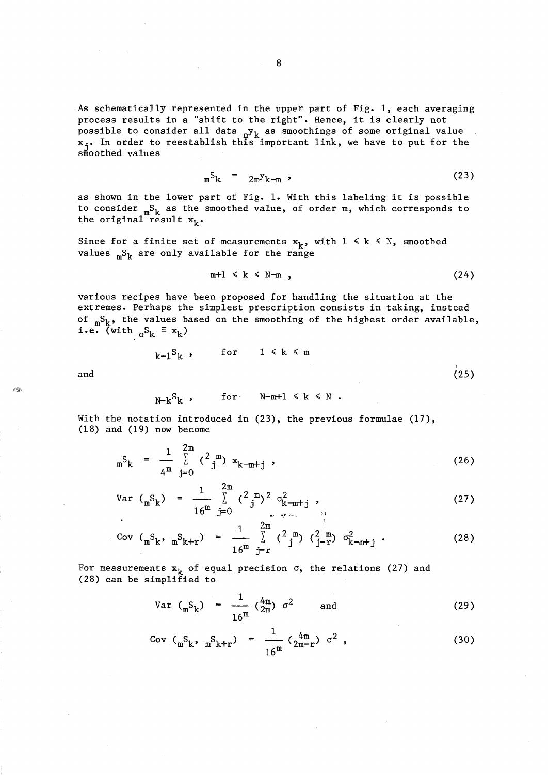As schematically represented in the upper part of Fig. 1, each averaging process results in a "shift to the right". Hence, it is clearly not possible to consider all data  $n_y$ <sup>k</sup> as smoothings of some original value  $x_j$ . In order to reestablish this important link, we have to put for the smoothed values

$$
{}_{m}S_{k} = 2m^{y}k-m
$$
 (23)

as shown in the lower part of Fig. 1. With this labeling it is possible to consider  ${}_{m}S_{k}$  as the smoothed value, of order m, which corresponds to the original result  $x_k$ .

Since for a finite set of measurements  $x_k$ , with  $1 \le k \le N$ , smoothed values  ${}_{m}S_{k}$  are only available for the range

$$
m+1 \leq k \leq N-m \quad , \tag{24}
$$

various recipes have been proposed for handling the situation at the extremes. Perhaps the simplest prescription consists in taking, instead of  ${}_{m}S_{k}$ , the values based on the smoothing of the highest order available, i.e. (with  ${}_{0}S_{k} \equiv x_{k}$ )

$$
k-1Sk
$$
, for  $1 \le k \le m$  (25)

and

$$
N-k^S_k
$$
, for  $N-m+1 \le k \le N$ .

With the notation introduced in (23), the previous formulae (17), (18) and (19) now become

$$
{}_{m}S_{k} = \frac{1}{4^{m}} \sum_{j=0}^{2m} {2^{m}} x_{k-m+j} , \qquad (26)
$$

Var 
$$
({}_{m}S_{k}) = \frac{1}{16^{m}} \sum_{j=0}^{2m} {2 \choose j}^{2} \sigma_{k-m+j}^{2}
$$
, (27)

Cov 
$$
(_mS_k, _mS_{k+r}) = \frac{1}{16^m} \sum_{j=r}^{2m} {2 \choose j} {2 \choose j-r} {\sigma_{k-m+j}^2}
$$
 (28)

For measurements  $x_k$  of equal precision  $\sigma$ , the relations (27) and (28) can be simplified to

Var 
$$
(_mS_k)
$$
 =  $\frac{1}{16^m} (\frac{4m}{2m}) \sigma^2$  and (29)

Cov 
$$
({}_{m}S_{k}, {}_{m}S_{k+r}) = \frac{1}{16^{m}} \left( \frac{4m}{2m-r} \right) \sigma^{2}
$$
, (30)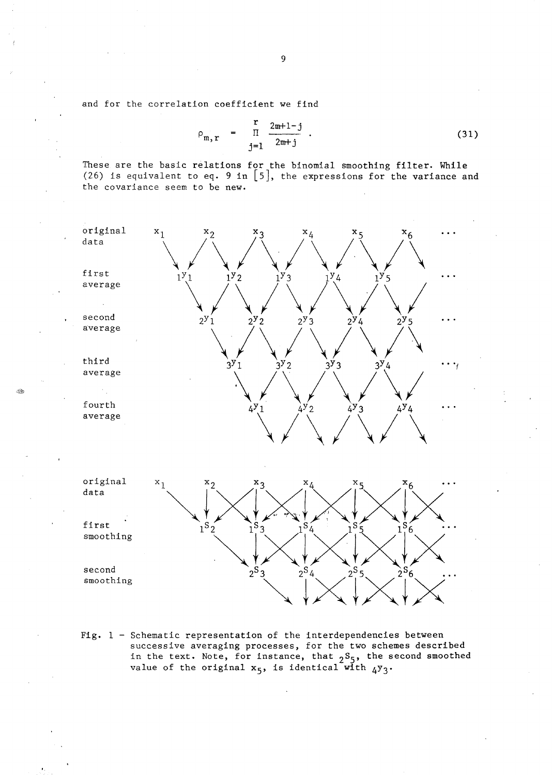and for the correlation coefficient we find

$$
\rho_{m,r} = \frac{r}{\pi} \frac{2m+1-j}{2m+j} \tag{31}
$$

These are the basic relations for the binomial smoothing filter. While (26) is equivalent to eq. 9 in  $[5]$ , the expressions for the variance and the covariance seem to be new.



Fig. 1 - Schematic representation of the interdependencies between successive averaging processes, for the two schemes described in the text. Note, for instance, that  $2<sup>S</sup>$ <sub>5</sub>, the second smoothed value of the original  $x_5$ , is identical with  $4y_3$ .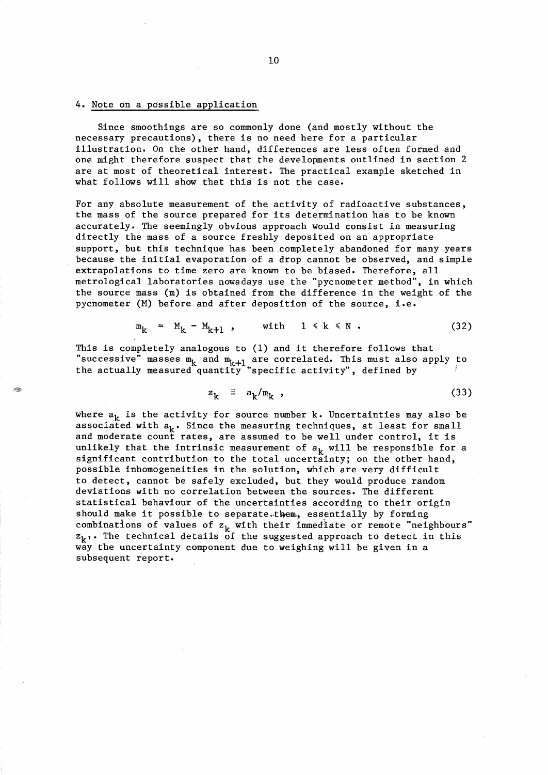### 4. Note on a possible application

Since smoothings are so commonly done (and mostly without the necessary precautions), there is no need here for a particular illustration. On the other hand, differences are less often formed and one might therefore suspect that the developments outlined in section 2 are at most of theoretical interest. The practical example sketched in what follows will show that this is not the case.

For any absolute measurement of the activity of radioactive substances, the mass of the source prepared for its determination has to be known accurately. The seemingly obvious approach would consist in measuring directly the mass of a source freshly deposited on an appropriate support, but this technique has been .completely abandoned for many years because the initial evaporation of a drop cannot be observed, and simple extrapolations to time zero are known to be biased. Therefore, all metrological laboratories nowadays use the "pycnometer method", in which the source mass (m) is obtained from the difference in the weight of the pycnometer (M) before and after deposition of the source, i.e.

$$
m_k = M_k - M_{k+1} , \qquad \text{with} \quad 1 \le k \le N . \tag{32}
$$

This is completely analogous to (1) and it therefore follows that successive" masses  $m_k$  and  $m_{k+1}$  are correlated. This must also apply to the actually measured quantity "specific activity", defined by

$$
z_k = a_k / m_k \t\t(33)
$$

where  $a_k$  is the activity for source number k. Uncertainties may also be associated with  $a_k$ . Since the measuring techniques, at least for small and moderate count rates, are assumed to be well under control, it is unlikely that the intrinsic measurement of  $a_k$  will be responsible for a significant contribution to the total uncertainty; on the other hand, possible inhomogeneities in the solution, which are very difficult to detect, cannot be safely excluded, but they would produce random deviations with no correlation between the sources. The different statistical behaviour of the uncertainties according to their origin should make it possible to separate.them. essentially by forming combinations of values of  $z_k$  with their immediate or remote "neighbours"  $z_k$ . The technical details of the suggested approach to detect in this way the uncertainty component due to weighing will be given in a subsequent report.